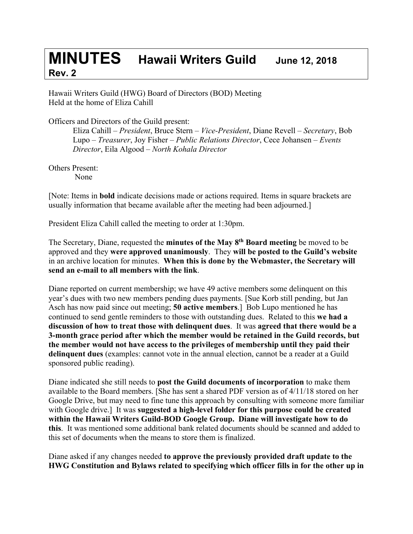## **MINUTES Hawaii Writers Guild June 12, <sup>2018</sup> Rev. 2**

Hawaii Writers Guild (HWG) Board of Directors (BOD) Meeting Held at the home of Eliza Cahill

Officers and Directors of the Guild present:

Eliza Cahill – *President*, Bruce Stern – *Vice-President*, Diane Revell – *Secretary*, Bob Lupo – *Treasurer*, Joy Fisher – *Public Relations Director*, Cece Johansen – *Events Director*, Eila Algood – *North Kohala Director*

Others Present:

None

[Note: Items in **bold** indicate decisions made or actions required. Items in square brackets are usually information that became available after the meeting had been adjourned.]

President Eliza Cahill called the meeting to order at 1:30pm.

The Secretary, Diane, requested the **minutes of the May 8th Board meeting** be moved to be approved and they **were approved unanimously**. They **will be posted to the Guild's website** in an archive location for minutes. **When this is done by the Webmaster, the Secretary will send an e-mail to all members with the link**.

Diane reported on current membership; we have 49 active members some delinquent on this year's dues with two new members pending dues payments. [Sue Korb still pending, but Jan Asch has now paid since out meeting; **50 active members**.] Bob Lupo mentioned he has continued to send gentle reminders to those with outstanding dues. Related to this **we had a discussion of how to treat those with delinquent dues**. It was **agreed that there would be a 3-month grace period after which the member would be retained in the Guild records, but the member would not have access to the privileges of membership until they paid their delinquent dues** (examples: cannot vote in the annual election, cannot be a reader at a Guild sponsored public reading).

Diane indicated she still needs to **post the Guild documents of incorporation** to make them available to the Board members. [She has sent a shared PDF version as of 4/11/18 stored on her Google Drive, but may need to fine tune this approach by consulting with someone more familiar with Google drive.] It was **suggested a high-level folder for this purpose could be created within the Hawaii Writers Guild-BOD Google Group. Diane will investigate how to do this**. It was mentioned some additional bank related documents should be scanned and added to this set of documents when the means to store them is finalized.

Diane asked if any changes needed **to approve the previously provided draft update to the HWG Constitution and Bylaws related to specifying which officer fills in for the other up in**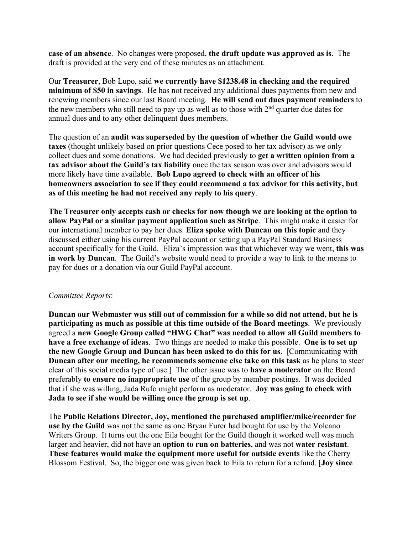**case of an absence**. No changes were proposed, **the draft update was approved as is**. The draft is provided at the very end of these minutes as an attachment.

Our **Treasurer**, Bob Lupo, said **we currently have \$1238.48 in checking and the required minimum of \$50 in savings**. He has not received any additional dues payments from new and renewing members since our last Board meeting. **He will send out dues payment reminders** to the new members who still need to pay up as well as to those with  $2<sup>nd</sup>$  quarter due dates for annual dues and to any other delinquent dues members.

The question of an **audit was superseded by the question of whether the Guild would owe taxes** (thought unlikely based on prior questions Cece posed to her tax advisor) as we only collect dues and some donations. We had decided previously to **get a written opinion from a tax advisor about the Guild's tax liability** once the tax season was over and advisors would more likely have time available. **Bob Lupo agreed to check with an officer of his homeowners association to see if they could recommend a tax advisor for this activity, but as of this meeting he had not received any reply to his query**.

**The Treasurer only accepts cash or checks for now though we are looking at the option to allow PayPal or a similar payment application such as Stripe**. This might make it easier for our international member to pay her dues. **Eliza spoke with Duncan on this topic** and they discussed either using his current PayPal account or setting up a PayPal Standard Business account specifically for the Guild. Eliza's impression was that whichever way we went, **this was in work by Duncan**. The Guild's website would need to provide a way to link to the means to pay for dues or a donation via our Guild PayPal account.

## *Committee Reports*:

**Duncan our Webmaster was still out of commission for a while so did not attend, but he is participating as much as possible at this time outside of the Board meetings**. We previously agreed a **new Google Group called "HWG Chat" was needed to allow all Guild members to have a free exchange of ideas**. Two things are needed to make this possible. **One is to set up the new Google Group and Duncan has been asked to do this for us**. [Communicating with **Duncan after our meeting, he recommends someone else take on this task** as he plans to steer clear of this social media type of use.] The other issue was to **have a moderator** on the Board preferably **to ensure no inappropriate use** of the group by member postings. It was decided that if she was willing, Jada Rufo might perform as moderator. **Joy was going to check with Jada to see if she would be willing once the group is set up**.

The **Public Relations Director, Joy, mentioned the purchased amplifier/mike/recorder for use by the Guild** was not the same as one Bryan Furer had bought for use by the Volcano Writers Group. It turns out the one Eila bought for the Guild though it worked well was much larger and heavier, did not have an **option to run on batteries**, and was not **water resistant**. **These features would make the equipment more useful for outside events** like the Cherry Blossom Festival. So, the bigger one was given back to Eila to return for a refund. [**Joy since**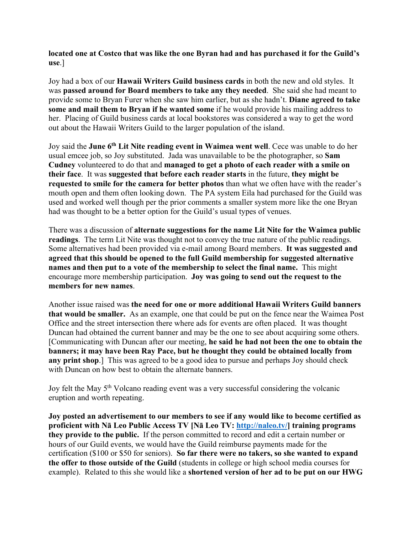**located one at Costco that was like the one Byran had and has purchased it for the Guild's use**.]

Joy had a box of our **Hawaii Writers Guild business cards** in both the new and old styles. It was **passed around for Board members to take any they needed**. She said she had meant to provide some to Bryan Furer when she saw him earlier, but as she hadn't. **Diane agreed to take some and mail them to Bryan if he wanted some** if he would provide his mailing address to her. Placing of Guild business cards at local bookstores was considered a way to get the word out about the Hawaii Writers Guild to the larger population of the island.

Joy said the **June 6th Lit Nite reading event in Waimea went well**. Cece was unable to do her usual emcee job, so Joy substituted. Jada was unavailable to be the photographer, so **Sam Cudney** volunteered to do that and **managed to get a photo of each reader with a smile on their face**. It was **suggested that before each reader starts** in the future, **they might be requested to smile for the camera for better photos** than what we often have with the reader's mouth open and them often looking down. The PA system Eila had purchased for the Guild was used and worked well though per the prior comments a smaller system more like the one Bryan had was thought to be a better option for the Guild's usual types of venues.

There was a discussion of **alternate suggestions for the name Lit Nite for the Waimea public readings**. The term Lit Nite was thought not to convey the true nature of the public readings. Some alternatives had been provided via e-mail among Board members. **It was suggested and agreed that this should be opened to the full Guild membership for suggested alternative names and then put to a vote of the membership to select the final name.** This might encourage more membership participation. **Joy was going to send out the request to the members for new names**.

Another issue raised was **the need for one or more additional Hawaii Writers Guild banners that would be smaller.** As an example, one that could be put on the fence near the Waimea Post Office and the street intersection there where ads for events are often placed. It was thought Duncan had obtained the current banner and may be the one to see about acquiring some others. [Communicating with Duncan after our meeting, **he said he had not been the one to obtain the banners; it may have been Ray Pace, but he thought they could be obtained locally from any print shop**.] This was agreed to be a good idea to pursue and perhaps Joy should check with Duncan on how best to obtain the alternate banners.

Joy felt the May 5<sup>th</sup> Volcano reading event was a very successful considering the volcanic eruption and worth repeating.

**Joy posted an advertisement to our members to see if any would like to become certified as proficient with Nā Leo Public Access TV [Nā Leo TV: http://naleo.tv/] training programs they provide to the public.** If the person committed to record and edit a certain number or hours of our Guild events, we would have the Guild reimburse payments made for the certification (\$100 or \$50 for seniors). **So far there were no takers, so she wanted to expand the offer to those outside of the Guild** (students in college or high school media courses for example). Related to this she would like a **shortened version of her ad to be put on our HWG**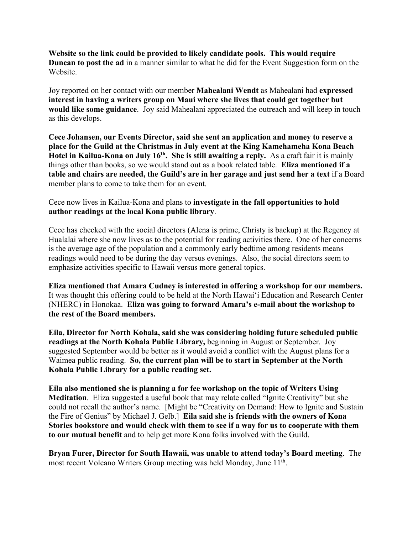**Website so the link could be provided to likely candidate pools. This would require Duncan to post the ad** in a manner similar to what he did for the Event Suggestion form on the Website.

Joy reported on her contact with our member **Mahealani Wendt** as Mahealani had **expressed interest in having a writers group on Maui where she lives that could get together but would like some guidance**. Joy said Mahealani appreciated the outreach and will keep in touch as this develops.

**Cece Johansen, our Events Director, said she sent an application and money to reserve a place for the Guild at the Christmas in July event at the King Kamehameha Kona Beach Hotel in Kailua-Kona on July 16th. She is still awaiting a reply.** As a craft fair it is mainly things other than books, so we would stand out as a book related table. **Eliza mentioned if a table and chairs are needed, the Guild's are in her garage and just send her a text** if a Board member plans to come to take them for an event.

Cece now lives in Kailua-Kona and plans to **investigate in the fall opportunities to hold author readings at the local Kona public library**.

Cece has checked with the social directors (Alena is prime, Christy is backup) at the Regency at Hualalai where she now lives as to the potential for reading activities there. One of her concerns is the average age of the population and a commonly early bedtime among residents means readings would need to be during the day versus evenings. Also, the social directors seem to emphasize activities specific to Hawaii versus more general topics.

**Eliza mentioned that Amara Cudney is interested in offering a workshop for our members.**  It was thought this offering could to be held at the North Hawaiʻi Education and Research Center (NHERC) in Honokaa. **Eliza was going to forward Amara's e-mail about the workshop to the rest of the Board members.**

**Eila, Director for North Kohala, said she was considering holding future scheduled public readings at the North Kohala Public Library,** beginning in August or September. Joy suggested September would be better as it would avoid a conflict with the August plans for a Waimea public reading. **So, the current plan will be to start in September at the North Kohala Public Library for a public reading set.**

**Eila also mentioned she is planning a for fee workshop on the topic of Writers Using Meditation**. Eliza suggested a useful book that may relate called "Ignite Creativity" but she could not recall the author's name. [Might be "Creativity on Demand: How to Ignite and Sustain the Fire of Genius" by Michael J. Gelb.] **Eila said she is friends with the owners of Kona Stories bookstore and would check with them to see if a way for us to cooperate with them to our mutual benefit** and to help get more Kona folks involved with the Guild.

**Bryan Furer, Director for South Hawaii, was unable to attend today's Board meeting**. The most recent Volcano Writers Group meeting was held Monday, June 11<sup>th</sup>.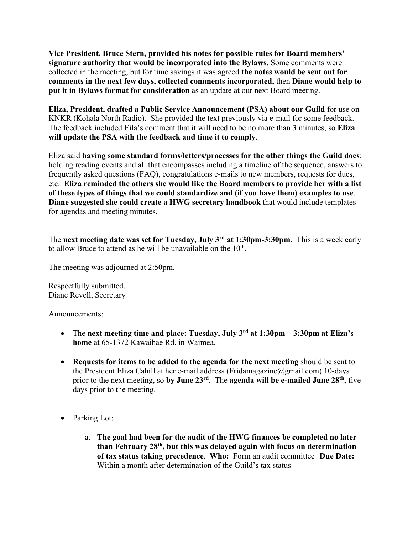**Vice President, Bruce Stern, provided his notes for possible rules for Board members' signature authority that would be incorporated into the Bylaws**. Some comments were collected in the meeting, but for time savings it was agreed **the notes would be sent out for comments in the next few days, collected comments incorporated,** then **Diane would help to put it in Bylaws format for consideration** as an update at our next Board meeting.

**Eliza, President, drafted a Public Service Announcement (PSA) about our Guild** for use on KNKR (Kohala North Radio). She provided the text previously via e-mail for some feedback. The feedback included Eila's comment that it will need to be no more than 3 minutes, so **Eliza will update the PSA with the feedback and time it to comply**.

Eliza said **having some standard forms/letters/processes for the other things the Guild does**: holding reading events and all that encompasses including a timeline of the sequence, answers to frequently asked questions (FAQ), congratulations e-mails to new members, requests for dues, etc. **Eliza reminded the others she would like the Board members to provide her with a list of these types of things that we could standardize and (if you have them) examples to use**. **Diane suggested she could create a HWG secretary handbook** that would include templates for agendas and meeting minutes.

The **next meeting date was set for Tuesday, July 3rd at 1:30pm-3:30pm**. This is a week early to allow Bruce to attend as he will be unavailable on the  $10<sup>th</sup>$ .

The meeting was adjourned at 2:50pm.

Respectfully submitted, Diane Revell, Secretary

Announcements:

- The **next meeting time and place: Tuesday, July 3rd at 1:30pm – 3:30pm at Eliza's home** at 65-1372 Kawaihae Rd. in Waimea.
- **Requests for items to be added to the agenda for the next meeting** should be sent to the President Eliza Cahill at her e-mail address (Fridamagazine@gmail.com) 10-days prior to the next meeting, so **by June 23rd**. The **agenda will be e-mailed June 28th**, five days prior to the meeting.
- Parking Lot:
	- a. **The goal had been for the audit of the HWG finances be completed no later than February 28th, but this was delayed again with focus on determination of tax status taking precedence**. **Who:** Form an audit committee **Due Date:** Within a month after determination of the Guild's tax status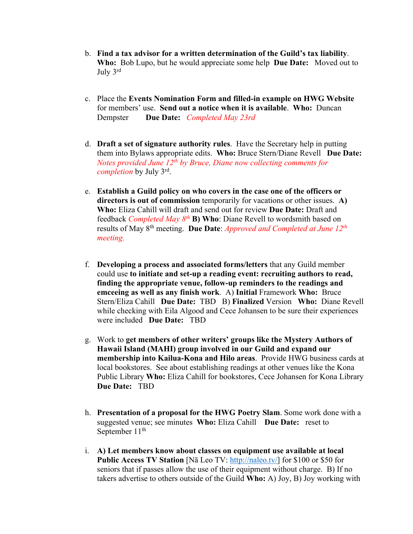- b. **Find a tax advisor for a written determination of the Guild's tax liability**. **Who:** Bob Lupo, but he would appreciate some help **Due Date:** Moved out to July 3rd
- c. Place the **Events Nomination Form and filled-in example on HWG Website** for members' use. **Send out a notice when it is available**. **Who:** Duncan Dempster **Due Date:** *Completed May 23rd*
- d. **Draft a set of signature authority rules**. Have the Secretary help in putting them into Bylaws appropriate edits. **Who:** Bruce Stern/Diane Revell **Due Date:** *Notes provided June 12th by Bruce, Diane now collecting comments for completion* by July 3rd .
- e. **Establish a Guild policy on who covers in the case one of the officers or directors is out of commission** temporarily for vacations or other issues. **A) Who:** Eliza Cahill will draft and send out for review **Due Date:** Draft and feedback *Completed May 8th* **B) Who**: Diane Revell to wordsmith based on results of May 8th meeting. **Due Date**: *Approved and Completed at June 12th meeting.*
- f. **Developing a process and associated forms/letters** that any Guild member could use **to initiate and set-up a reading event: recruiting authors to read, finding the appropriate venue, follow-up reminders to the readings and emceeing as well as any finish work**. A) **Initial** Framework **Who:** Bruce Stern/Eliza Cahill **Due Date:** TBD B) **Finalized** Version **Who:** Diane Revell while checking with Eila Algood and Cece Johansen to be sure their experiences were included **Due Date:** TBD
- g. Work to **get members of other writers' groups like the Mystery Authors of Hawaii Island (MAHI) group involved in our Guild and expand our membership into Kailua-Kona and Hilo areas**. Provide HWG business cards at local bookstores. See about establishing readings at other venues like the Kona Public Library **Who:** Eliza Cahill for bookstores, Cece Johansen for Kona Library **Due Date:** TBD
- h. **Presentation of a proposal for the HWG Poetry Slam**. Some work done with a suggested venue; see minutes **Who:** Eliza Cahill **Due Date:** reset to September 11<sup>th</sup>
- i. **A) Let members know about classes on equipment use available at local Public Access TV Station** [Nā Leo TV: http://naleo.tv/] for \$100 or \$50 for seniors that if passes allow the use of their equipment without charge. B) If no takers advertise to others outside of the Guild **Who:** A) Joy, B) Joy working with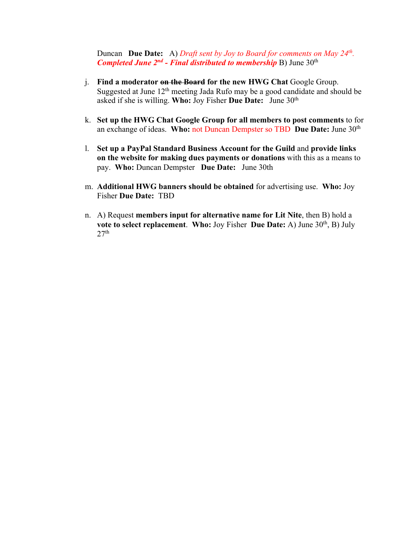Duncan **Due Date:** A) *Draft sent by Joy to Board for comments on May 24th. Completed June 2nd - Final distributed to membership* B) June 30th

- j. **Find a moderator on the Board for the new HWG Chat** Google Group. Suggested at June 12<sup>th</sup> meeting Jada Rufo may be a good candidate and should be asked if she is willing. **Who:** Joy Fisher **Due Date:** June 30th
- k. **Set up the HWG Chat Google Group for all members to post comments** to for an exchange of ideas. **Who:** not Duncan Dempster so TBD **Due Date:** June 30th
- l. **Set up a PayPal Standard Business Account for the Guild** and **provide links on the website for making dues payments or donations** with this as a means to pay. **Who:** Duncan Dempster **Due Date:** June 30th
- m. **Additional HWG banners should be obtained** for advertising use. **Who:** Joy Fisher **Due Date:** TBD
- n. A) Request **members input for alternative name for Lit Nite**, then B) hold a **vote to select replacement. Who:** Joy Fisher Due Date: A) June 30<sup>th</sup>, B) July  $27<sup>th</sup>$